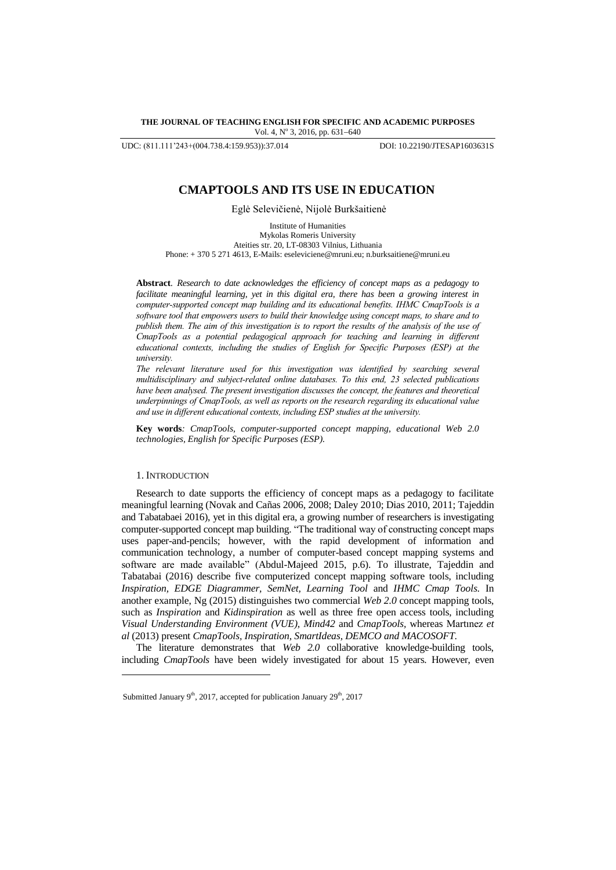**THE JOURNAL OF TEACHING ENGLISH FOR SPECIFIC AND ACADEMIC PURPOSES** Vol. 4, Nº 3, 2016, pp. 631-640

UDC: (811.111'243+(004.738.4:159.953)):37.014 DOI: 10.22190/JTESAP1603631S

# **CMAPTOOLS AND ITS USE IN EDUCATION**

Eglė Selevičienė, Nijolė Burkšaitienė

Institute of Humanities Mykolas Romeris University Ateities str. 20, LT-08303 Vilnius, Lithuania Phone: + 370 5 271 4613, E-Mails: eseleviciene@mruni.eu; n.burksaitiene@mruni.eu

**Abstract***. Research to date acknowledges the efficiency of concept maps as a pedagogy to*  facilitate meaningful learning, yet in this digital era, there has been a growing interest in *computer-supported concept map building and its educational benefits. IHMC CmapTools is a software tool that empowers users to build their knowledge using concept maps, to share and to publish them. The aim of this investigation is to report the results of the analysis of the use of CmapTools as a potential pedagogical approach for teaching and learning in different educational contexts, including the studies of English for Specific Purposes (ESP) at the university.*

*The relevant literature used for this investigation was identified by searching several multidisciplinary and subject-related online databases. To this end, 23 selected publications have been analysed. The present investigation discusses the concept, the features and theoretical underpinnings of CmapTools, as well as reports on the research regarding its educational value and use in different educational contexts, including ESP studies at the university.*

**Key words***: CmapTools, computer-supported concept mapping, educational Web 2.0 technologies, English for Specific Purposes (ESP).*

## 1. INTRODUCTION

l

Research to date supports the efficiency of concept maps as a pedagogy to facilitate meaningful learning (Novak and Cañas 2006, 2008; Daley 2010; Dias 2010, 2011; Tajeddin and Tabatabaei 2016), yet in this digital era, a growing number of researchers is investigating computer-supported concept map building. "The traditional way of constructing concept maps uses paper-and-pencils; however, with the rapid development of information and communication technology, a number of computer-based concept mapping systems and software are made available" (Abdul-Majeed 2015, p.6). To illustrate, Tajeddin and Tabatabai (2016) describe five computerized concept mapping software tools, including *Inspiration, EDGE Diagrammer, SemNet, Learning Tool* and *IHMC Cmap Tools.* In another example, Ng (2015) distinguishes two commercial *Web 2.0* concept mapping tools, such as *Inspiration* and *Kidinspiration* as well as three free open access tools, including *Visual Understanding Environment (VUE), Mind42* and *CmapTools,* whereas Martınez *et al* (2013) present *CmapTools, Inspiration, SmartIdeas, DEMCO and MACOSOFT.* 

The literature demonstrates that *Web 2.0* collaborative knowledge-building tools, including *CmapTools* have been widely investigated for about 15 years. However, even

Submitted January  $9<sup>th</sup>$ , 2017, accepted for publication January  $29<sup>th</sup>$ , 2017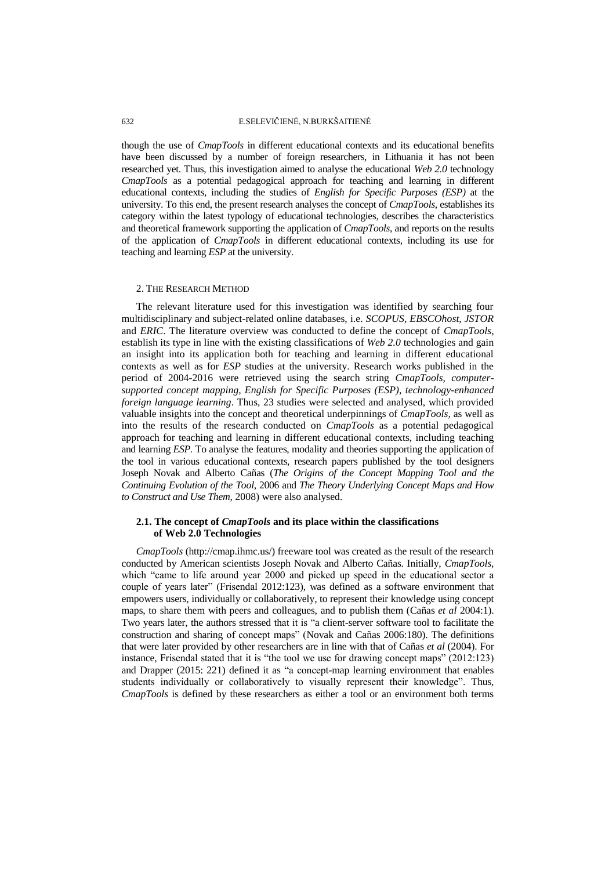### 632 E.SELEVIČIENĖ, N.BURKŠAITIENĖ

though the use of *CmapTools* in different educational contexts and its educational benefits have been discussed by a number of foreign researchers, in Lithuania it has not been researched yet. Thus, this investigation aimed to analyse the educational *Web 2.0* technology *CmapTools* as a potential pedagogical approach for teaching and learning in different educational contexts, including the studies of *English for Specific Purposes (ESP)* at the university. To this end, the present research analyses the concept of *CmapTools*, establishes its category within the latest typology of educational technologies, describes the characteristics and theoretical framework supporting the application of *CmapTools*, and reports on the results of the application of *CmapTools* in different educational contexts, including its use for teaching and learning *ESP* at the university.

## 2. THE RESEARCH METHOD

The relevant literature used for this investigation was identified by searching four multidisciplinary and subject-related online databases, i.e. *SCOPUS, EBSCOhost, JSTOR* and *ERIC*. The literature overview was conducted to define the concept of *CmapTools*, establish its type in line with the existing classifications of *Web 2.0* technologies and gain an insight into its application both for teaching and learning in different educational contexts as well as for *ESP* studies at the university. Research works published in the period of 2004-2016 were retrieved using the search string *CmapTools, computersupported concept mapping, English for Specific Purposes (ESP), technology-enhanced foreign language learning*. Thus, 23 studies were selected and analysed, which provided valuable insights into the concept and theoretical underpinnings of *CmapTools,* as well as into the results of the research conducted on *CmapTools* as a potential pedagogical approach for teaching and learning in different educational contexts, including teaching and learning *ESP.* To analyse the features, modality and theories supporting the application of the tool in various educational contexts, research papers published by the tool designers Joseph Novak and Alberto Cañas (*The Origins of the Concept Mapping Tool and the Continuing Evolution of the Tool*, 2006 and *The Theory Underlying Concept Maps and How to Construct and Use Them*, 2008) were also analysed.

# **2.1. The concept of** *CmapTools* **and its place within the classifications of Web 2.0 Technologies**

*CmapTools* (http://cmap.ihmc.us/) freeware tool was created as the result of the research conducted by American scientists Joseph Novak and Alberto Cañas. Initially, *CmapTools,* which "came to life around year 2000 and picked up speed in the educational sector a couple of years later" (Frisendal 2012:123), was defined as a software environment that empowers users, individually or collaboratively, to represent their knowledge using concept maps, to share them with peers and colleagues, and to publish them (Cañas *et al* 2004:1). Two years later, the authors stressed that it is "a client-server software tool to facilitate the construction and sharing of concept maps" (Novak and Cañas 2006:180). The definitions that were later provided by other researchers are in line with that of Cañas *et al* (2004). For instance, Frisendal stated that it is "the tool we use for drawing concept maps" (2012:123) and Drapper (2015: 221) defined it as "a concept-map learning environment that enables students individually or collaboratively to visually represent their knowledge". Thus, *CmapTools* is defined by these researchers as either a tool or an environment both terms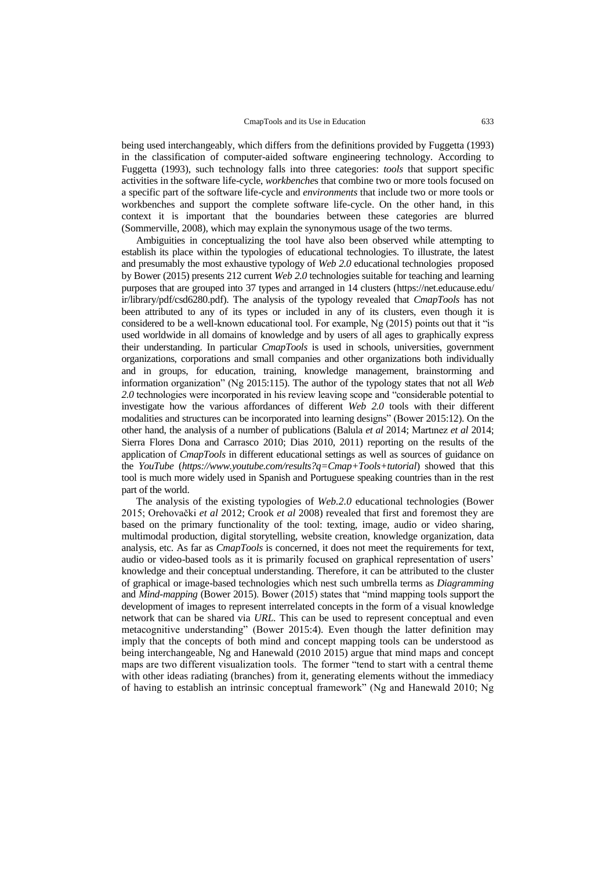being used interchangeably, which differs from the definitions provided by Fuggetta (1993) in the classification of computer-aided software engineering technology. According to Fuggetta (1993), such technology falls into three categories: *tools* that support specific activities in the software life-cycle, *workbenche*s that combine two or more tools focused on a specific part of the software life-cycle and *environments* that include two or more tools or workbenches and support the complete software life-cycle. On the other hand, in this context it is important that the boundaries between these categories are blurred (Sommerville, 2008), which may explain the synonymous usage of the two terms.

Ambiguities in conceptualizing the tool have also been observed while attempting to establish its place within the typologies of educational technologies. To illustrate, the latest and presumably the most exhaustive typology of *Web 2.0* educational technologies proposed by Bower (2015) presents 212 current *Web 2.0* technologies suitable for teaching and learning purposes that are grouped into 37 types and arranged in 14 clusters (https://net.educause.edu/ ir/library/pdf/csd6280.pdf). The analysis of the typology revealed that *CmapTools* has not been attributed to any of its types or included in any of its clusters, even though it is considered to be a well-known educational tool. For example, Ng (2015) points out that it "is used worldwide in all domains of knowledge and by users of all ages to graphically express their understanding. In particular *CmapTools* is used in schools, universities, government organizations, corporations and small companies and other organizations both individually and in groups, for education, training, knowledge management, brainstorming and information organization" (Ng 2015:115). The author of the typology states that not all *Web 2.0* technologies were incorporated in his review leaving scope and "considerable potential to investigate how the various affordances of different *Web 2.0* tools with their different modalities and structures can be incorporated into learning designs" (Bower 2015:12). On the other hand, the analysis of a number of publications (Balula *et al* 2014; Martınez *et al* 2014; Sierra Flores Dona and Carrasco 2010; Dias 2010, 2011) reporting on the results of the application of *CmapTools* in different educational settings as well as sources of guidance on the *YouTube* (*https://www.youtube.com/results?q=Cmap+Tools+tutorial*) showed that this tool is much more widely used in Spanish and Portuguese speaking countries than in the rest part of the world.

The analysis of the existing typologies of *Web.2.0* educational technologies (Bower 2015; Orehovački *et al* 2012; Crook *et al* 2008) revealed that first and foremost they are based on the primary functionality of the tool: texting, image, audio or video sharing, multimodal production, digital storytelling, website creation, knowledge organization, data analysis, etc. As far as *CmapTools* is concerned, it does not meet the requirements for text, audio or video-based tools as it is primarily focused on graphical representation of users' knowledge and their conceptual understanding. Therefore, it can be attributed to the cluster of graphical or image-based technologies which nest such umbrella terms as *Diagramming*  and *Mind-mapping* (Bower 2015). Bower (2015) states that "mind mapping tools support the development of images to represent interrelated concepts in the form of a visual knowledge network that can be shared via *URL.* This can be used to represent conceptual and even metacognitive understanding" (Bower 2015:4). Even though the latter definition may imply that the concepts of both mind and concept mapping tools can be understood as being interchangeable, Ng and Hanewald (2010 2015) argue that mind maps and concept maps are two different visualization tools. The former "tend to start with a central theme with other ideas radiating (branches) from it, generating elements without the immediacy of having to establish an intrinsic conceptual framework" (Ng and Hanewald 2010; Ng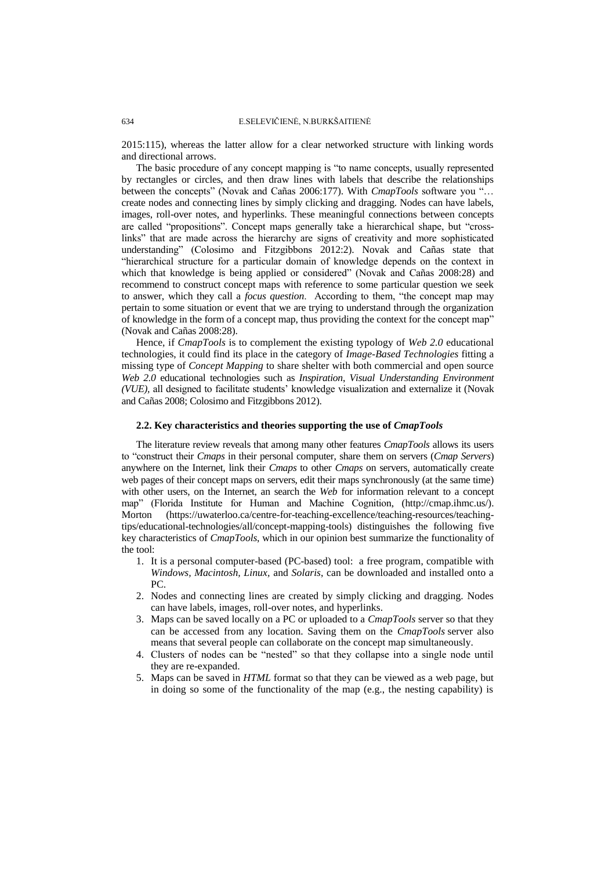2015:115), whereas the latter allow for a clear networked structure with linking words and directional arrows.

The basic procedure of any concept mapping is "to name concepts, usually represented by rectangles or circles, and then draw lines with labels that describe the relationships between the concepts" (Novak and Cañas 2006:177). With *CmapTools* software you "… create nodes and connecting lines by simply clicking and dragging. Nodes can have labels, images, roll-over notes, and hyperlinks. These meaningful connections between concepts are called "propositions". Concept maps generally take a hierarchical shape, but "crosslinks" that are made across the hierarchy are signs of creativity and more sophisticated understanding" (Colosimo and Fitzgibbons 2012:2). Novak and Cañas state that "hierarchical structure for a particular domain of knowledge depends on the context in which that knowledge is being applied or considered" (Novak and Cañas 2008:28) and recommend to construct concept maps with reference to some particular question we seek to answer, which they call a *focus question*. According to them, "the concept map may pertain to some situation or event that we are trying to understand through the organization of knowledge in the form of a concept map, thus providing the context for the concept map" (Novak and Cañas 2008:28).

Hence, if *CmapTools* is to complement the existing typology of *Web 2.0* educational technologies, it could find its place in the category of *Image-Based Technologies* fitting a missing type of *Concept Mapping* to share shelter with both commercial and open source *Web 2.0* educational technologies such as *Inspiration*, *Visual Understanding Environment (VUE),* all designed to facilitate students' knowledge visualization and externalize it (Novak and Cañas 2008; Colosimo and Fitzgibbons 2012).

### **2.2. Key characteristics and theories supporting the use of** *CmapTools*

The literature review reveals that among many other features *CmapTools* allows its users to "construct their *Cmaps* in their personal computer, share them on servers (*Cmap Servers*) anywhere on the Internet, link their *Cmaps* to other *Cmaps* on servers, automatically create web pages of their concept maps on servers, edit their maps synchronously (at the same time) with other users, on the Internet, an search the *Web* for information relevant to a concept map" (Florida Institute for Human and Machine Cognition, (http://cmap.ihmc.us/). Morton (https://uwaterloo.ca/centre-for-teaching-excellence/teaching-resources/teachingtips/educational-technologies/all/concept-mapping-tools) distinguishes the following five key characteristics of *CmapTools*, which in our opinion best summarize the functionality of the tool:

- 1. It is a personal computer-based (PC-based) tool: a free program, compatible with *Windows, Macintosh, Linux,* and *Solaris*, can be downloaded and installed onto a PC.
- 2. Nodes and connecting lines are created by simply clicking and dragging. Nodes can have labels, images, roll-over notes, and hyperlinks.
- 3. Maps can be saved locally on a PC or uploaded to a *CmapTools* server so that they can be accessed from any location. Saving them on the *CmapTools* server also means that several people can collaborate on the concept map simultaneously.
- 4. Clusters of nodes can be "nested" so that they collapse into a single node until they are re-expanded.
- 5. Maps can be saved in *HTML* format so that they can be viewed as a web page, but in doing so some of the functionality of the map (e.g., the nesting capability) is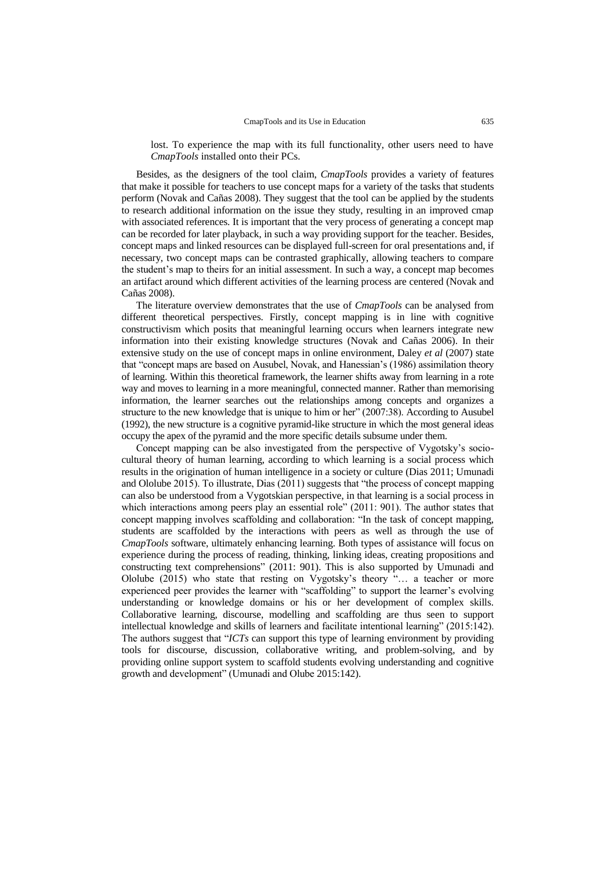lost. To experience the map with its full functionality, other users need to have *CmapTools* installed onto their PCs.

Besides, as the designers of the tool claim, *CmapTools* provides a variety of features that make it possible for teachers to use concept maps for a variety of the tasks that students perform (Novak and Cañas 2008). They suggest that the tool can be applied by the students to research additional information on the issue they study, resulting in an improved cmap with associated references. It is important that the very process of generating a concept map can be recorded for later playback, in such a way providing support for the teacher. Besides, concept maps and linked resources can be displayed full-screen for oral presentations and, if necessary, two concept maps can be contrasted graphically, allowing teachers to compare the student's map to theirs for an initial assessment. In such a way, a concept map becomes an artifact around which different activities of the learning process are centered (Novak and Cañas 2008).

The literature overview demonstrates that the use of *CmapTools* can be analysed from different theoretical perspectives. Firstly, concept mapping is in line with cognitive constructivism which posits that meaningful learning occurs when learners integrate new information into their existing knowledge structures (Novak and Cañas 2006). In their extensive study on the use of concept maps in online environment, Daley *et al* (2007) state that "concept maps are based on Ausubel, Novak, and Hanessian's (1986) assimilation theory of learning. Within this theoretical framework, the learner shifts away from learning in a rote way and moves to learning in a more meaningful, connected manner. Rather than memorising information, the learner searches out the relationships among concepts and organizes a structure to the new knowledge that is unique to him or her" (2007:38). According to Ausubel (1992), the new structure is a cognitive pyramid-like structure in which the most general ideas occupy the apex of the pyramid and the more specific details subsume under them.

Concept mapping can be also investigated from the perspective of Vygotsky's sociocultural theory of human learning, according to which learning is a social process which results in the origination of human intelligence in a society or culture (Dias 2011; Umunadi and Ololube 2015). To illustrate, Dias (2011) suggests that "the process of concept mapping can also be understood from a Vygotskian perspective, in that learning is a social process in which interactions among peers play an essential role" (2011: 901). The author states that concept mapping involves scaffolding and collaboration: "In the task of concept mapping, students are scaffolded by the interactions with peers as well as through the use of *CmapTools* software, ultimately enhancing learning. Both types of assistance will focus on experience during the process of reading, thinking, linking ideas, creating propositions and constructing text comprehensions" (2011: 901). This is also supported by Umunadi and Ololube (2015) who state that resting on Vygotsky's theory "… a teacher or more experienced peer provides the learner with "scaffolding" to support the learner's evolving understanding or knowledge domains or his or her development of complex skills. Collaborative learning, discourse, modelling and scaffolding are thus seen to support intellectual knowledge and skills of learners and facilitate intentional learning" (2015:142). The authors suggest that "*ICTs* can support this type of learning environment by providing tools for discourse, discussion, collaborative writing, and problem-solving, and by providing online support system to scaffold students evolving understanding and cognitive growth and development" (Umunadi and Olube 2015:142).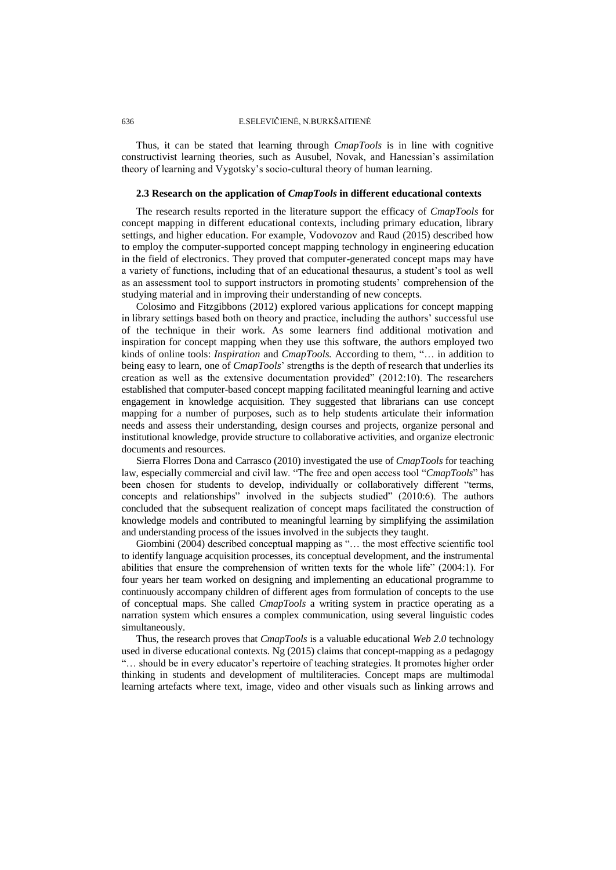## 636 E.SELEVIČIENĖ, N.BURKŠAITIENĖ

Thus, it can be stated that learning through *CmapTools* is in line with cognitive constructivist learning theories, such as Ausubel, Novak, and Hanessian's assimilation theory of learning and Vygotsky's socio-cultural theory of human learning.

### **2.3 Research on the application of** *CmapTools* **in different educational contexts**

The research results reported in the literature support the efficacy of *CmapTools* for concept mapping in different educational contexts, including primary education, library settings, and higher education. For example, Vodovozov and Raud (2015) described how to employ the computer-supported concept mapping technology in engineering education in the field of electronics. They proved that computer-generated concept maps may have a variety of functions, including that of an educational thesaurus, a student's tool as well as an assessment tool to support instructors in promoting students' comprehension of the studying material and in improving their understanding of new concepts.

Colosimo and Fitzgibbons (2012) explored various applications for concept mapping in library settings based both on theory and practice, including the authors' successful use of the technique in their work. As some learners find additional motivation and inspiration for concept mapping when they use this software, the authors employed two kinds of online tools: *Inspiration* and *CmapTools.* According to them, "… in addition to being easy to learn, one of *CmapTools*' strengths is the depth of research that underlies its creation as well as the extensive documentation provided" (2012:10). The researchers established that computer-based concept mapping facilitated meaningful learning and active engagement in knowledge acquisition. They suggested that librarians can use concept mapping for a number of purposes, such as to help students articulate their information needs and assess their understanding, design courses and projects, organize personal and institutional knowledge, provide structure to collaborative activities, and organize electronic documents and resources.

Sierra Florres Dona and Carrasco (2010) investigated the use of *CmapTools* for teaching law, especially commercial and civil law. "The free and open access tool "*CmapTools*" has been chosen for students to develop, individually or collaboratively different "terms, concepts and relationships" involved in the subjects studied" (2010:6). The authors concluded that the subsequent realization of concept maps facilitated the construction of knowledge models and contributed to meaningful learning by simplifying the assimilation and understanding process of the issues involved in the subjects they taught.

Giombini (2004) described conceptual mapping as "… the most effective scientific tool to identify language acquisition processes, its conceptual development, and the instrumental abilities that ensure the comprehension of written texts for the whole life" (2004:1). For four years her team worked on designing and implementing an educational programme to continuously accompany children of different ages from formulation of concepts to the use of conceptual maps. She called *CmapTools* a writing system in practice operating as a narration system which ensures a complex communication, using several linguistic codes simultaneously.

Thus, the research proves that *CmapTools* is a valuable educational *Web 2.0* technology used in diverse educational contexts. Ng (2015) claims that concept-mapping as a pedagogy "… should be in every educator's repertoire of teaching strategies. It promotes higher order thinking in students and development of multiliteracies. Concept maps are multimodal learning artefacts where text, image, video and other visuals such as linking arrows and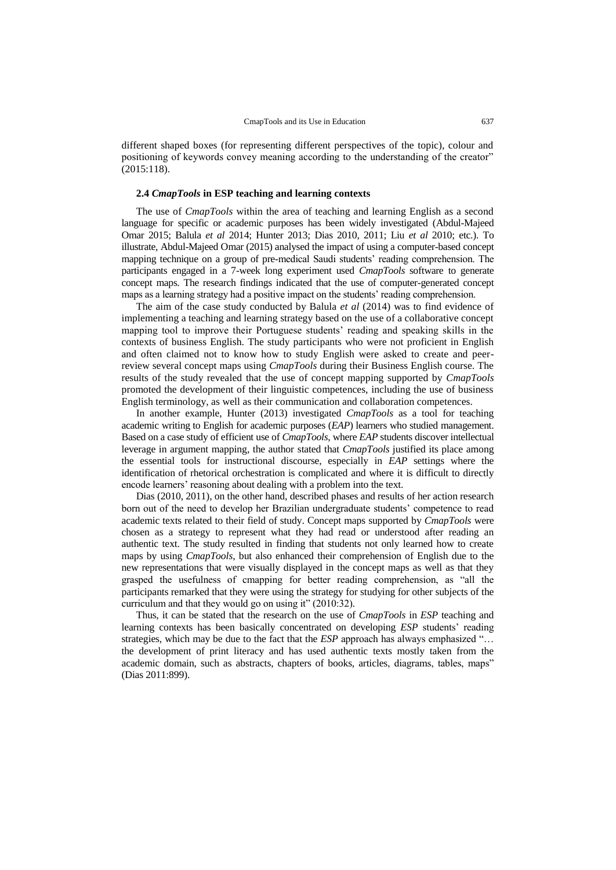different shaped boxes (for representing different perspectives of the topic), colour and positioning of keywords convey meaning according to the understanding of the creator" (2015:118).

#### **2.4** *CmapTools* **in ESP teaching and learning contexts**

The use of *CmapTools* within the area of teaching and learning English as a second language for specific or academic purposes has been widely investigated (Abdul-Majeed Omar 2015; Balula *et al* 2014; Hunter 2013; Dias 2010, 2011; Liu *et al* 2010; etc.). To illustrate, Abdul-Majeed Omar (2015) analysed the impact of using a computer-based concept mapping technique on a group of pre-medical Saudi students' reading comprehension. The participants engaged in a 7-week long experiment used *CmapTools* software to generate concept maps. The research findings indicated that the use of computer-generated concept maps as a learning strategy had a positive impact on the students' reading comprehension.

The aim of the case study conducted by Balula *et al* (2014) was to find evidence of implementing a teaching and learning strategy based on the use of a collaborative concept mapping tool to improve their Portuguese students' reading and speaking skills in the contexts of business English. The study participants who were not proficient in English and often claimed not to know how to study English were asked to create and peerreview several concept maps using *CmapTools* during their Business English course. The results of the study revealed that the use of concept mapping supported by *CmapTools* promoted the development of their linguistic competences, including the use of business English terminology, as well as their communication and collaboration competences.

In another example, Hunter (2013) investigated *CmapTools* as a tool for teaching academic writing to English for academic purposes (*EAP*) learners who studied management. Based on a case study of efficient use of *CmapTools*, where *EAP* students discover intellectual leverage in argument mapping, the author stated that *CmapTools* justified its place among the essential tools for instructional discourse, especially in *EAP* settings where the identification of rhetorical orchestration is complicated and where it is difficult to directly encode learners' reasoning about dealing with a problem into the text.

Dias (2010, 2011), on the other hand, described phases and results of her action research born out of the need to develop her Brazilian undergraduate students' competence to read academic texts related to their field of study. Concept maps supported by *CmapTools* were chosen as a strategy to represent what they had read or understood after reading an authentic text. The study resulted in finding that students not only learned how to create maps by using *CmapTools*, but also enhanced their comprehension of English due to the new representations that were visually displayed in the concept maps as well as that they grasped the usefulness of cmapping for better reading comprehension, as "all the participants remarked that they were using the strategy for studying for other subjects of the curriculum and that they would go on using it" (2010:32)*.*

Thus, it can be stated that the research on the use of *CmapTools* in *ESP* teaching and learning contexts has been basically concentrated on developing *ESP* students' reading strategies, which may be due to the fact that the *ESP* approach has always emphasized "… the development of print literacy and has used authentic texts mostly taken from the academic domain, such as abstracts, chapters of books, articles, diagrams, tables, maps" (Dias 2011:899).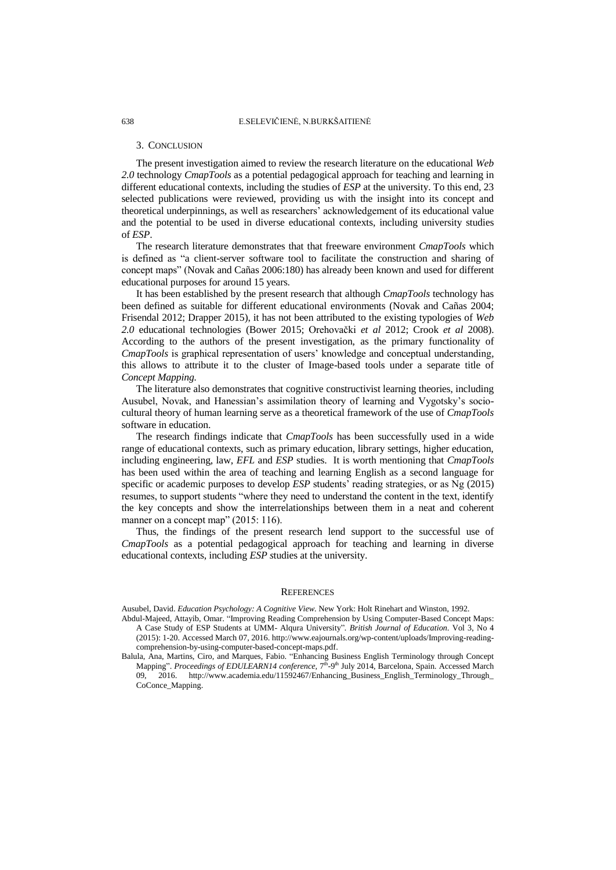#### 3. CONCLUSION

The present investigation aimed to review the research literature on the educational *Web 2.0* technology *CmapTools* as a potential pedagogical approach for teaching and learning in different educational contexts, including the studies of *ESP* at the university. To this end, 23 selected publications were reviewed, providing us with the insight into its concept and theoretical underpinnings*,* as well as researchers' acknowledgement of its educational value and the potential to be used in diverse educational contexts, including university studies of *ESP*.

The research literature demonstrates that that freeware environment *CmapTools* which is defined as "a client-server software tool to facilitate the construction and sharing of concept maps" (Novak and Cañas 2006:180) has already been known and used for different educational purposes for around 15 years.

It has been established by the present research that although *CmapTools* technology has been defined as suitable for different educational environments (Novak and Cañas 2004; Frisendal 2012; Drapper 2015), it has not been attributed to the existing typologies of *Web 2.0* educational technologies (Bower 2015; Orehovački *et al* 2012; Crook *et al* 2008). According to the authors of the present investigation, as the primary functionality of *CmapTools* is graphical representation of users' knowledge and conceptual understanding, this allows to attribute it to the cluster of Image-based tools under a separate title of *Concept Mapping.* 

The literature also demonstrates that cognitive constructivist learning theories, including Ausubel, Novak, and Hanessian's assimilation theory of learning and Vygotsky's sociocultural theory of human learning serve as a theoretical framework of the use of *CmapTools*  software in education.

The research findings indicate that *CmapTools* has been successfully used in a wide range of educational contexts, such as primary education, library settings, higher education, including engineering, law, *EFL* and *ESP* studies. It is worth mentioning that *CmapTools* has been used within the area of teaching and learning English as a second language for specific or academic purposes to develop *ESP* students' reading strategies, or as Ng (2015) resumes, to support students "where they need to understand the content in the text, identify the key concepts and show the interrelationships between them in a neat and coherent manner on a concept map" (2015: 116).

Thus, the findings of the present research lend support to the successful use of *CmapTools* as a potential pedagogical approach for teaching and learning in diverse educational contexts, including *ESP s*tudies at the university.

#### **REFERENCES**

Ausubel, David. *Education Psychology: A Cognitive View.* New York: Holt Rinehart and Winston, 1992.

- Abdul-Majeed, Attayib, Omar. "Improving Reading Comprehension by Using Computer-Based Concept Maps: A Case Study of ESP Students at UMM- Alqura University"*. British Journal of Education.* Vol 3, No 4 (2015): 1-20. Accessed March 07, 2016. http://www.eajournals.org/wp-content/uploads/Improving-readingcomprehension-by-using-computer-based-concept-maps.pdf.
- Balula, Ana, Martins, Ciro, and Marques, Fabio. "Enhancing Business English Terminology through Concept Mapping". Proceedings of EDULEARN14 conference, 7<sup>th</sup>-9<sup>th</sup> July 2014, Barcelona, Spain. Accessed March 09, 2016. http://www.academia.edu/11592467/Enhancing\_Business\_English\_Terminology\_Through\_ CoConce\_Mapping.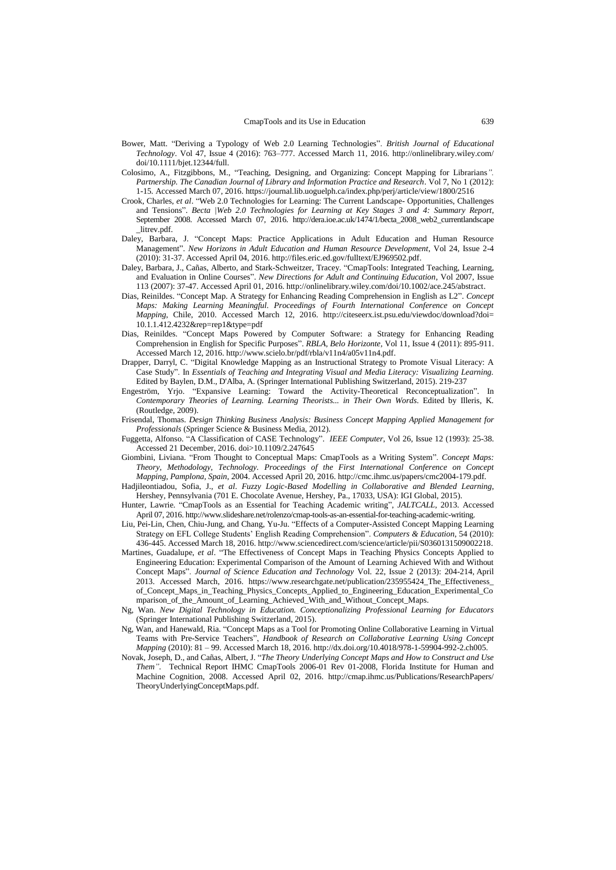- Bower, Matt. "Deriving a Typology of Web 2.0 Learning Technologies". *British Journal of Educational Technology*. Vol 47, Issue 4 (2016): 763–777. Accessed March 11, 2016. http://onlinelibrary.wiley.com/ doi/10.1111/bjet.12344/full.
- Colosimo, A., Fitzgibbons, M., "Teaching, Designing, and Organizing: Concept Mapping for Librarians*". Partnership. The Canadian Journal of Library and Information Practice and Research*. [Vol 7, No](https://journal.lib.uoguelph.ca/index.php/perj/issue/view/136) 1 (2012): 1-15*.* Accessed March 07, 2016. https://journal.lib.uoguelph.ca/index.php/perj/article/view/1800/2516
- Crook, Charles, *et al*. "Web 2.0 Technologies for Learning: The Current Landscape- Opportunities, Challenges and Tensions". *Becta |Web 2.0 Technologies for Learning at Key Stages 3 and 4: Summary Report*, September 2008. Accessed March 07, 2016. http://dera.ioe.ac.uk/1474/1/becta\_2008\_web2\_currentlandscape litrev.pdf.
- Daley, Barbara, J. "Concept Maps: Practice Applications in Adult Education and Human Resource Management". *New Horizons in Adult Education and Human Resource Development*, Vol 24, Issue 2-4 (2010): 31-37. Accessed April 04, 2016. http://files.eric.ed.gov/fulltext/EJ969502.pdf.
- Daley, Barbara, J., Cañas, Alberto, and Stark-Schweitzer, Tracey. "CmapTools: Integrated Teaching, Learning, and Evaluation in Online Courses". *New Directions for Adult and Continuing Education*, Vol 2007, Issue 113 (2007): 37-47. Accessed April 01, 2016. http://onlinelibrary.wiley.com/doi/10.1002/ace.245/abstract.
- Dias, Reinildes. "Concept Map. A Strategy for Enhancing Reading Comprehension in English as L2". *Concept Maps: Making Learning Meaningful. Proceedings of Fourth International Conference on Concept Mapping*, Chile, 2010. Accessed March 12, 2016. http://citeseerx.ist.psu.edu/viewdoc/download?doi= 10.1.1.412.4232&rep=rep1&type=pdf
- Dias, Reinildes. "Concept Maps Powered by Computer Software: a Strategy for Enhancing Reading Comprehension in English for Specific Purposes". *RBLA, Belo Horizonte,* Vol 11, Issue 4 (2011): 895-911. Accessed March 12, 2016. http://www.scielo.br/pdf/rbla/v11n4/a05v11n4.pdf.
- Drapper, Darryl, C. "Digital Knowledge Mapping as an Instructional Strategy to Promote Visual Literacy: A Case Study". In *Essentials of Teaching and Integrating Visual and Media Literacy: Visualizing Learning.* Edited by Baylen, D.M., D'Alba, A. (Springer International Publishing Switzerland, 2015). 219-237
- Engeström, Yrjo. "Expansive Learning: Toward the Activity-Theoretical Reconceptualization". In *Contemporary Theories of Learning. Learning Theorists... in Their Own Words*. Edited by Illeris, K. (Routledge, 2009).
- Frisendal, Thomas. *Design Thinking Business Analysis: Business Concept Mapping Applied [Management for](https://www.google.lt/search?hl=lt&tbo=p&tbm=bks&q=bibliogroup:%22Management+for+Professionals%22&source=gbs_metadata_r&cad=8)  [Professionals](https://www.google.lt/search?hl=lt&tbo=p&tbm=bks&q=bibliogroup:%22Management+for+Professionals%22&source=gbs_metadata_r&cad=8)* (*S*pringer Science & Business Media, 2012).
- Fuggetta, Alfonso. "A Classification of CASE Technology". *IEEE Computer*, Vol 26*,* Issue 12 (1993): 25-38. Accessed 21 December, 2016. doi>10.1109/2.247645
- Giombini, Liviana. "From Thought to Conceptual Maps: CmapTools as a Writing System". *Concept Maps: Theory, Methodology, Technology. Proceedings of the First International Conference on Concept Mapping, Pamplona, Spain,* 2004. Accessed April 20, 2016. http://cmc.ihmc.us/papers/cmc2004-179.pdf.
- Hadjileontiadou, Sofia, J., *et al*. *Fuzzy Logic-Based Modelling in Collaborative and Blended Learning*, Hershey, Pennsylvania (701 E. Chocolate Avenue, Hershey, Pa., 17033, USA): IGI Global, 2015).
- Hunter, Lawrie. "CmapTools as an Essential for Teaching Academic writing", *JALTCALL*, 2013. Accessed April 07, 2016. http://www.slideshare.net/rolenzo/cmap-tools-as-an-essential-for-teaching-academic-writing.
- Liu, Pei-Lin, Chen, Chiu-Jung, and Chang, Yu-Ju. "Effects of a Computer-Assisted Concept Mapping Learning Strategy on EFL College Students' English Reading Comprehension". *Computers & Education*, 54 (2010): 436-445. Accessed March 18, 2016. http://www.sciencedirect.com/science/article/pii/S0360131509002218.
- Martines, Guadalupe, *et al*. "The Effectiveness of Concept Maps in Teaching Physics Concepts Applied to Engineering Education: Experimental Comparison of the Amount of Learning Achieved With and Without Concept Maps". *[Journal of Science Education and Technology](https://www.researchgate.net/journal/1059-0145_Journal_of_Science_Education_and_Technology)* Vol. 22, Issue 2 (2013): 204-214, April 2013. Accessed March, 2016. https://www.researchgate.net/publication/235955424\_The\_Effectiveness\_ of\_Concept\_Maps\_in\_Teaching\_Physics\_Concepts\_Applied\_to\_Engineering\_Education\_Experimental\_Co mparison\_of\_the\_Amount\_of\_Learning\_Achieved\_With\_and\_Without\_Concept\_Maps.
- Ng, Wan. *New Digital Technology in Education. Conceptionalizing Professional Learning for Educators* (Springer International Publishing Switzerland, 2015).
- Ng, Wan, and Hanewald, Ria. "Concept Maps as a Tool for Promoting Online Collaborative Learning in Virtual Teams with Pre-Service Teachers", *Handbook of Research on Collaborative Learning Using Concept Mapping* (2010): 81 – 99. Accessed March 18, 2016. http://dx.doi.org/10.4018/978-1-59904-992-2.ch005.
- Novak, Joseph, D., and Cañas, Albert, J. "*The Theory Underlying Concept Maps and How to Construct and Use Them".* Technical Report IHMC CmapTools 2006-01 Rev 01-2008, Florida Institute for Human and Machine Cognition, 2008. Accessed April 02, 2016. http://cmap.ihmc.us/Publications/ResearchPapers/ TheoryUnderlyingConceptMaps.pdf.